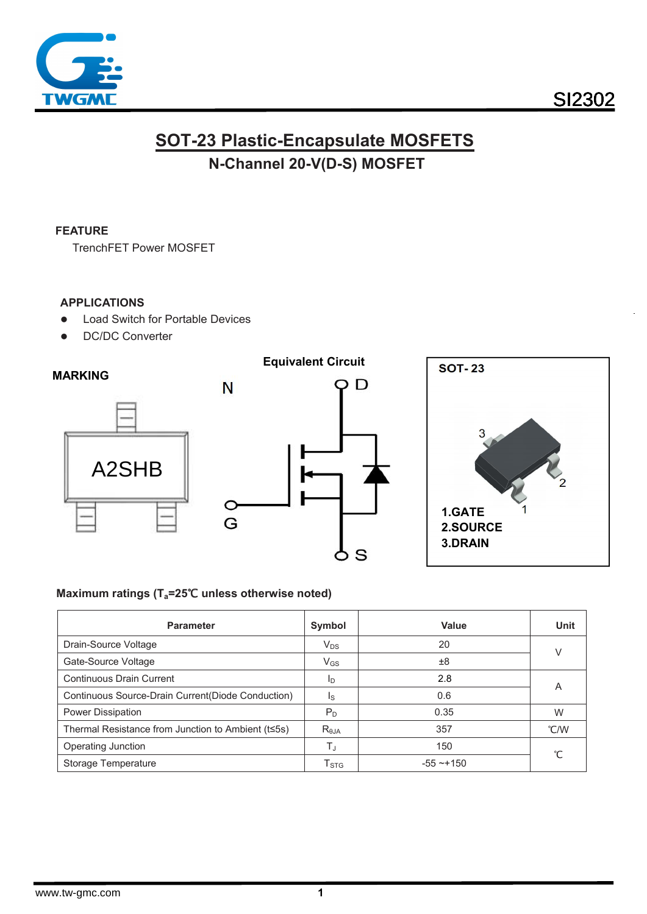

# **SI2302**

## **SOT-23 Plastic-Encapsulate MOSFETS** N-Channel 20-V(D-S) MOSFET

#### **FEATURE**

**TrenchFET Power MOSFET** 

#### **APPLICATIONS**

- **Load Switch for Portable Devices**  $\bullet$
- **DC/DC Converter**  $\bullet$



#### Maximum ratings (T<sub>a</sub>=25℃ unless otherwise noted)

| <b>Parameter</b>                                   | Symbol                    | Value           | <b>Unit</b> |  |
|----------------------------------------------------|---------------------------|-----------------|-------------|--|
| Drain-Source Voltage                               | $V_{DS}$                  | 20              |             |  |
| Gate-Source Voltage                                | $V_{GS}$                  | ±8              |             |  |
| <b>Continuous Drain Current</b>                    | ID                        | 2.8             |             |  |
| Continuous Source-Drain Current (Diode Conduction) | Is                        | 0.6             | A           |  |
| <b>Power Dissipation</b>                           | $P_D$                     | 0.35            | W           |  |
| Thermal Resistance from Junction to Ambient (t≤5s) | $R_{0,IA}$                | 357             | C/W         |  |
| Operating Junction                                 | TJ                        | 150             | ℃           |  |
| Storage Temperature                                | $\mathsf{T}_{\text{STG}}$ | $-55 \sim +150$ |             |  |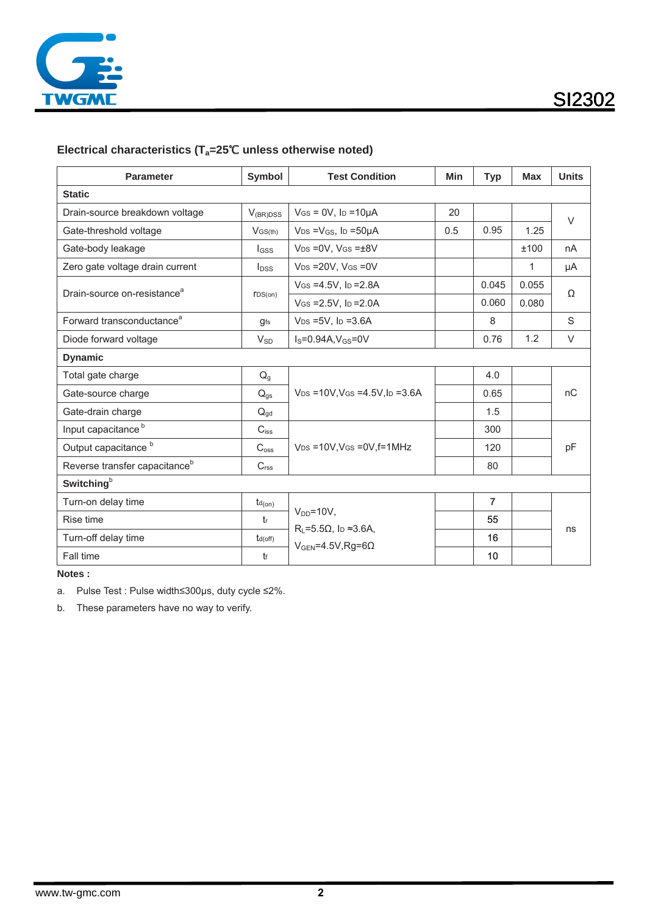

**SI2302** 

### Electrical characteristics (T<sub>a</sub>=25°C unless otherwise noted)

| <b>Parameter</b>                          | Symbol                   | <b>Test Condition</b>                                                         | <b>Min</b> | <b>Typ</b>     | <b>Max</b> | <b>Units</b> |  |  |  |
|-------------------------------------------|--------------------------|-------------------------------------------------------------------------------|------------|----------------|------------|--------------|--|--|--|
| <b>Static</b>                             |                          |                                                                               |            |                |            |              |  |  |  |
| Drain-source breakdown voltage            | $V_{(BR)DSS}$            | $V$ GS = 0V, lp = 10µA                                                        | 20         |                |            | $\vee$       |  |  |  |
| Gate-threshold voltage                    | $V$ GS(th)               | $V_{DS} = V_{GS}$ , lp =50µA                                                  | 0.5        | 0.95           | 1.25       |              |  |  |  |
| Gate-body leakage                         | <b>I</b> GSS             | $V_{DS} = 0V$ , $V_{GS} = \pm 8V$                                             |            |                | ±100       | nA           |  |  |  |
| Zero gate voltage drain current           | <b>I</b> <sub>DSS</sub>  | $V_{DS} = 20V$ , $V_{GS} = 0V$                                                |            |                | 1          | μA           |  |  |  |
| Drain-source on-resistance <sup>a</sup>   | $\text{TDS}(on)$         | $V$ GS = 4.5V, lp = 2.8A                                                      |            | 0.045          | 0.055      | Ω            |  |  |  |
|                                           |                          | $V$ GS = 2.5V, ID = 2.0A                                                      |            | 0.060          | 0.080      |              |  |  |  |
| Forward transconductance <sup>a</sup>     | <b>g</b> fs              | $V_{DS} = 5V$ , $I_D = 3.6A$                                                  |            | 8              |            | S            |  |  |  |
| Diode forward voltage                     | $V_{SD}$                 | $I_S = 0.94A, V_{GS} = 0V$                                                    |            | 0.76           | 1.2        | V            |  |  |  |
| <b>Dynamic</b>                            |                          |                                                                               |            |                |            |              |  |  |  |
| Total gate charge                         | $Q_q$                    |                                                                               |            | 4.0            |            | nC           |  |  |  |
| Gate-source charge                        | $\mathsf{Q}_{\text{gs}}$ | $V_{DS} = 10V$ , $V_{GS} = 4.5V$ , $I_D = 3.6A$                               |            | 0.65           |            |              |  |  |  |
| Gate-drain charge                         | $Q_{gd}$                 |                                                                               |            | 1.5            |            |              |  |  |  |
| Input capacitance <sup>b</sup>            | $C_{iss}$                |                                                                               |            | 300            |            | pF           |  |  |  |
| Output capacitance <sup>b</sup>           | C <sub>oss</sub>         | $V_{DS}$ =10V, V <sub>GS</sub> = 0V, f=1MHz                                   |            | 120            |            |              |  |  |  |
| Reverse transfer capacitance <sup>b</sup> | C <sub>rss</sub>         |                                                                               |            | 80             |            |              |  |  |  |
| Switching <sup>b</sup>                    |                          |                                                                               |            |                |            |              |  |  |  |
| Turn-on delay time                        | $t_{d(on)}$              |                                                                               |            | $\overline{7}$ |            | ns           |  |  |  |
| Rise time                                 | tr                       | $V_{DD} = 10V$ ,                                                              |            | 55             |            |              |  |  |  |
| Turn-off delay time                       | $t_{d(off)}$             | $R_L = 5.5 \Omega$ , lp $\approx 3.6 A$ ,<br>$V_{GEN} = 4.5V$ , Rg=6 $\Omega$ |            | 16             |            |              |  |  |  |
| Fall time                                 | tf                       |                                                                               |            | 10             |            |              |  |  |  |

**Notes :**

a. Pulse Test : Pulse width≤300μs, duty cycle ≤2%.

b. These parameters have no way to verify.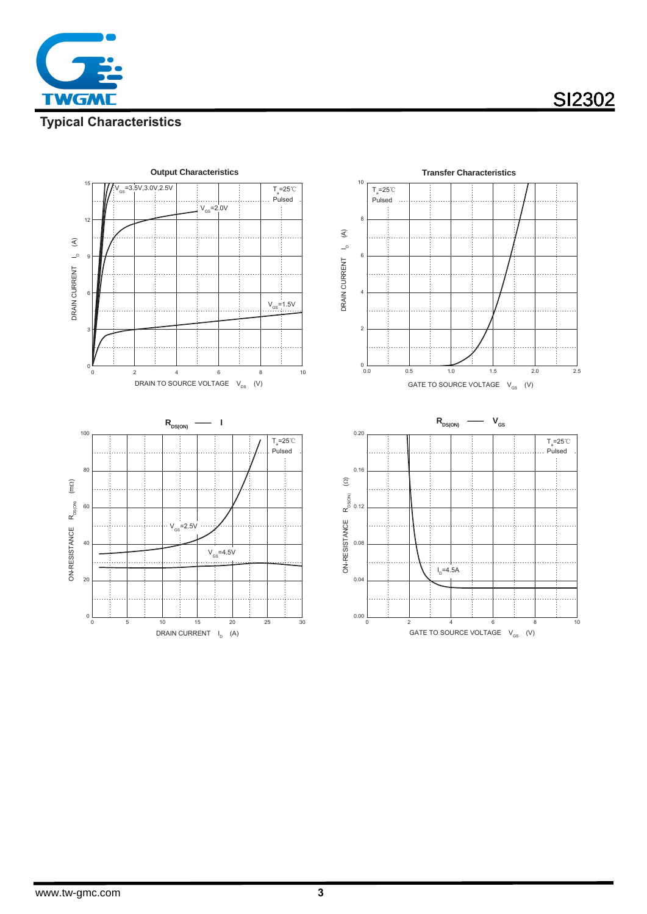**TWGM** 

# **SI2302**

## **Typical Characteristics**